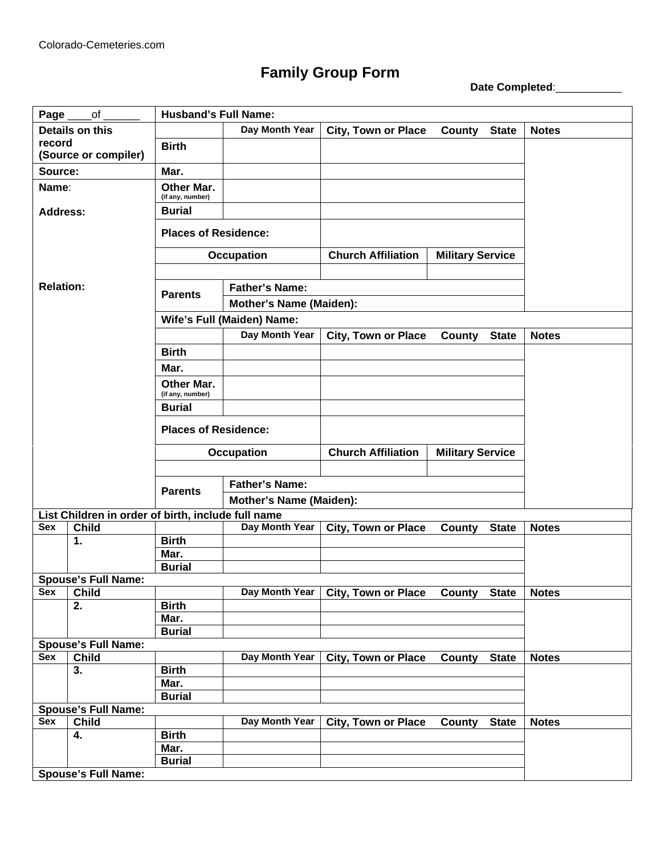## **Family Group Form**<br>Date Completed:

| Details on this<br>Day Month Year<br><b>City, Town or Place</b><br>County<br><b>State</b><br><b>Notes</b><br>record<br><b>Birth</b><br>(Source or compiler)<br>Mar.<br>Source:<br>Other Mar.<br>Name:<br>(if any, number)<br><b>Burial</b><br><b>Address:</b><br><b>Places of Residence:</b><br><b>Church Affiliation</b><br><b>Military Service</b><br><b>Occupation</b><br><b>Relation:</b><br><b>Father's Name:</b><br><b>Parents</b><br><b>Mother's Name (Maiden):</b><br>Wife's Full (Maiden) Name:<br>Day Month Year<br><b>City, Town or Place</b><br><b>Notes</b><br>County<br><b>State</b><br><b>Birth</b><br>Mar.<br><b>Other Mar.</b><br>(if any, number)<br><b>Burial</b><br><b>Places of Residence:</b><br><b>Church Affiliation</b><br><b>Occupation</b><br><b>Military Service</b><br><b>Father's Name:</b><br><b>Parents</b><br><b>Mother's Name (Maiden):</b><br>List Children in order of birth, include full name<br><b>Child</b><br>Day Month Year<br><b>Sex</b><br><b>City, Town or Place</b><br><b>County</b><br><b>State</b><br><b>Notes</b><br><b>Birth</b><br>1.<br>Mar.<br><b>Burial</b><br><b>Spouse's Full Name:</b><br><b>Child</b><br>Day Month Year<br><b>City, Town or Place</b><br><b>Sex</b><br>County State<br><b>Notes</b><br><b>Birth</b><br>2.<br>Mar.<br><b>Burial</b><br><b>Spouse's Full Name:</b><br>Child<br>Day Month Year<br><b>City, Town or Place</b><br><b>Notes</b><br><b>Sex</b><br><b>State</b><br>County<br><b>Birth</b><br>3.<br>Mar.<br><b>Burial</b><br><b>Spouse's Full Name:</b><br><b>Child</b><br>Day Month Year<br><b>City, Town or Place</b><br><b>Notes</b><br><b>Sex</b><br>County<br><b>State</b><br><b>Birth</b><br>4.<br>Mar.<br><b>Burial</b><br><b>Spouse's Full Name:</b> | Page | <b>Husband's Full Name:</b><br>of |  |  |  |  |  |  |  |
|-----------------------------------------------------------------------------------------------------------------------------------------------------------------------------------------------------------------------------------------------------------------------------------------------------------------------------------------------------------------------------------------------------------------------------------------------------------------------------------------------------------------------------------------------------------------------------------------------------------------------------------------------------------------------------------------------------------------------------------------------------------------------------------------------------------------------------------------------------------------------------------------------------------------------------------------------------------------------------------------------------------------------------------------------------------------------------------------------------------------------------------------------------------------------------------------------------------------------------------------------------------------------------------------------------------------------------------------------------------------------------------------------------------------------------------------------------------------------------------------------------------------------------------------------------------------------------------------------------------------------------------------------------------------------------------------------------------------------------------------------|------|-----------------------------------|--|--|--|--|--|--|--|
|                                                                                                                                                                                                                                                                                                                                                                                                                                                                                                                                                                                                                                                                                                                                                                                                                                                                                                                                                                                                                                                                                                                                                                                                                                                                                                                                                                                                                                                                                                                                                                                                                                                                                                                                               |      |                                   |  |  |  |  |  |  |  |
|                                                                                                                                                                                                                                                                                                                                                                                                                                                                                                                                                                                                                                                                                                                                                                                                                                                                                                                                                                                                                                                                                                                                                                                                                                                                                                                                                                                                                                                                                                                                                                                                                                                                                                                                               |      |                                   |  |  |  |  |  |  |  |
|                                                                                                                                                                                                                                                                                                                                                                                                                                                                                                                                                                                                                                                                                                                                                                                                                                                                                                                                                                                                                                                                                                                                                                                                                                                                                                                                                                                                                                                                                                                                                                                                                                                                                                                                               |      |                                   |  |  |  |  |  |  |  |
|                                                                                                                                                                                                                                                                                                                                                                                                                                                                                                                                                                                                                                                                                                                                                                                                                                                                                                                                                                                                                                                                                                                                                                                                                                                                                                                                                                                                                                                                                                                                                                                                                                                                                                                                               |      |                                   |  |  |  |  |  |  |  |
|                                                                                                                                                                                                                                                                                                                                                                                                                                                                                                                                                                                                                                                                                                                                                                                                                                                                                                                                                                                                                                                                                                                                                                                                                                                                                                                                                                                                                                                                                                                                                                                                                                                                                                                                               |      |                                   |  |  |  |  |  |  |  |
|                                                                                                                                                                                                                                                                                                                                                                                                                                                                                                                                                                                                                                                                                                                                                                                                                                                                                                                                                                                                                                                                                                                                                                                                                                                                                                                                                                                                                                                                                                                                                                                                                                                                                                                                               |      |                                   |  |  |  |  |  |  |  |
|                                                                                                                                                                                                                                                                                                                                                                                                                                                                                                                                                                                                                                                                                                                                                                                                                                                                                                                                                                                                                                                                                                                                                                                                                                                                                                                                                                                                                                                                                                                                                                                                                                                                                                                                               |      |                                   |  |  |  |  |  |  |  |
|                                                                                                                                                                                                                                                                                                                                                                                                                                                                                                                                                                                                                                                                                                                                                                                                                                                                                                                                                                                                                                                                                                                                                                                                                                                                                                                                                                                                                                                                                                                                                                                                                                                                                                                                               |      |                                   |  |  |  |  |  |  |  |
|                                                                                                                                                                                                                                                                                                                                                                                                                                                                                                                                                                                                                                                                                                                                                                                                                                                                                                                                                                                                                                                                                                                                                                                                                                                                                                                                                                                                                                                                                                                                                                                                                                                                                                                                               |      |                                   |  |  |  |  |  |  |  |
|                                                                                                                                                                                                                                                                                                                                                                                                                                                                                                                                                                                                                                                                                                                                                                                                                                                                                                                                                                                                                                                                                                                                                                                                                                                                                                                                                                                                                                                                                                                                                                                                                                                                                                                                               |      |                                   |  |  |  |  |  |  |  |
|                                                                                                                                                                                                                                                                                                                                                                                                                                                                                                                                                                                                                                                                                                                                                                                                                                                                                                                                                                                                                                                                                                                                                                                                                                                                                                                                                                                                                                                                                                                                                                                                                                                                                                                                               |      |                                   |  |  |  |  |  |  |  |
|                                                                                                                                                                                                                                                                                                                                                                                                                                                                                                                                                                                                                                                                                                                                                                                                                                                                                                                                                                                                                                                                                                                                                                                                                                                                                                                                                                                                                                                                                                                                                                                                                                                                                                                                               |      |                                   |  |  |  |  |  |  |  |
|                                                                                                                                                                                                                                                                                                                                                                                                                                                                                                                                                                                                                                                                                                                                                                                                                                                                                                                                                                                                                                                                                                                                                                                                                                                                                                                                                                                                                                                                                                                                                                                                                                                                                                                                               |      |                                   |  |  |  |  |  |  |  |
|                                                                                                                                                                                                                                                                                                                                                                                                                                                                                                                                                                                                                                                                                                                                                                                                                                                                                                                                                                                                                                                                                                                                                                                                                                                                                                                                                                                                                                                                                                                                                                                                                                                                                                                                               |      |                                   |  |  |  |  |  |  |  |
|                                                                                                                                                                                                                                                                                                                                                                                                                                                                                                                                                                                                                                                                                                                                                                                                                                                                                                                                                                                                                                                                                                                                                                                                                                                                                                                                                                                                                                                                                                                                                                                                                                                                                                                                               |      |                                   |  |  |  |  |  |  |  |
|                                                                                                                                                                                                                                                                                                                                                                                                                                                                                                                                                                                                                                                                                                                                                                                                                                                                                                                                                                                                                                                                                                                                                                                                                                                                                                                                                                                                                                                                                                                                                                                                                                                                                                                                               |      |                                   |  |  |  |  |  |  |  |
|                                                                                                                                                                                                                                                                                                                                                                                                                                                                                                                                                                                                                                                                                                                                                                                                                                                                                                                                                                                                                                                                                                                                                                                                                                                                                                                                                                                                                                                                                                                                                                                                                                                                                                                                               |      |                                   |  |  |  |  |  |  |  |
|                                                                                                                                                                                                                                                                                                                                                                                                                                                                                                                                                                                                                                                                                                                                                                                                                                                                                                                                                                                                                                                                                                                                                                                                                                                                                                                                                                                                                                                                                                                                                                                                                                                                                                                                               |      |                                   |  |  |  |  |  |  |  |
|                                                                                                                                                                                                                                                                                                                                                                                                                                                                                                                                                                                                                                                                                                                                                                                                                                                                                                                                                                                                                                                                                                                                                                                                                                                                                                                                                                                                                                                                                                                                                                                                                                                                                                                                               |      |                                   |  |  |  |  |  |  |  |
|                                                                                                                                                                                                                                                                                                                                                                                                                                                                                                                                                                                                                                                                                                                                                                                                                                                                                                                                                                                                                                                                                                                                                                                                                                                                                                                                                                                                                                                                                                                                                                                                                                                                                                                                               |      |                                   |  |  |  |  |  |  |  |
|                                                                                                                                                                                                                                                                                                                                                                                                                                                                                                                                                                                                                                                                                                                                                                                                                                                                                                                                                                                                                                                                                                                                                                                                                                                                                                                                                                                                                                                                                                                                                                                                                                                                                                                                               |      |                                   |  |  |  |  |  |  |  |
|                                                                                                                                                                                                                                                                                                                                                                                                                                                                                                                                                                                                                                                                                                                                                                                                                                                                                                                                                                                                                                                                                                                                                                                                                                                                                                                                                                                                                                                                                                                                                                                                                                                                                                                                               |      |                                   |  |  |  |  |  |  |  |
|                                                                                                                                                                                                                                                                                                                                                                                                                                                                                                                                                                                                                                                                                                                                                                                                                                                                                                                                                                                                                                                                                                                                                                                                                                                                                                                                                                                                                                                                                                                                                                                                                                                                                                                                               |      |                                   |  |  |  |  |  |  |  |
|                                                                                                                                                                                                                                                                                                                                                                                                                                                                                                                                                                                                                                                                                                                                                                                                                                                                                                                                                                                                                                                                                                                                                                                                                                                                                                                                                                                                                                                                                                                                                                                                                                                                                                                                               |      |                                   |  |  |  |  |  |  |  |
|                                                                                                                                                                                                                                                                                                                                                                                                                                                                                                                                                                                                                                                                                                                                                                                                                                                                                                                                                                                                                                                                                                                                                                                                                                                                                                                                                                                                                                                                                                                                                                                                                                                                                                                                               |      |                                   |  |  |  |  |  |  |  |
|                                                                                                                                                                                                                                                                                                                                                                                                                                                                                                                                                                                                                                                                                                                                                                                                                                                                                                                                                                                                                                                                                                                                                                                                                                                                                                                                                                                                                                                                                                                                                                                                                                                                                                                                               |      |                                   |  |  |  |  |  |  |  |
|                                                                                                                                                                                                                                                                                                                                                                                                                                                                                                                                                                                                                                                                                                                                                                                                                                                                                                                                                                                                                                                                                                                                                                                                                                                                                                                                                                                                                                                                                                                                                                                                                                                                                                                                               |      |                                   |  |  |  |  |  |  |  |
|                                                                                                                                                                                                                                                                                                                                                                                                                                                                                                                                                                                                                                                                                                                                                                                                                                                                                                                                                                                                                                                                                                                                                                                                                                                                                                                                                                                                                                                                                                                                                                                                                                                                                                                                               |      |                                   |  |  |  |  |  |  |  |
|                                                                                                                                                                                                                                                                                                                                                                                                                                                                                                                                                                                                                                                                                                                                                                                                                                                                                                                                                                                                                                                                                                                                                                                                                                                                                                                                                                                                                                                                                                                                                                                                                                                                                                                                               |      |                                   |  |  |  |  |  |  |  |
|                                                                                                                                                                                                                                                                                                                                                                                                                                                                                                                                                                                                                                                                                                                                                                                                                                                                                                                                                                                                                                                                                                                                                                                                                                                                                                                                                                                                                                                                                                                                                                                                                                                                                                                                               |      |                                   |  |  |  |  |  |  |  |
|                                                                                                                                                                                                                                                                                                                                                                                                                                                                                                                                                                                                                                                                                                                                                                                                                                                                                                                                                                                                                                                                                                                                                                                                                                                                                                                                                                                                                                                                                                                                                                                                                                                                                                                                               |      |                                   |  |  |  |  |  |  |  |
|                                                                                                                                                                                                                                                                                                                                                                                                                                                                                                                                                                                                                                                                                                                                                                                                                                                                                                                                                                                                                                                                                                                                                                                                                                                                                                                                                                                                                                                                                                                                                                                                                                                                                                                                               |      |                                   |  |  |  |  |  |  |  |
|                                                                                                                                                                                                                                                                                                                                                                                                                                                                                                                                                                                                                                                                                                                                                                                                                                                                                                                                                                                                                                                                                                                                                                                                                                                                                                                                                                                                                                                                                                                                                                                                                                                                                                                                               |      |                                   |  |  |  |  |  |  |  |
|                                                                                                                                                                                                                                                                                                                                                                                                                                                                                                                                                                                                                                                                                                                                                                                                                                                                                                                                                                                                                                                                                                                                                                                                                                                                                                                                                                                                                                                                                                                                                                                                                                                                                                                                               |      |                                   |  |  |  |  |  |  |  |
|                                                                                                                                                                                                                                                                                                                                                                                                                                                                                                                                                                                                                                                                                                                                                                                                                                                                                                                                                                                                                                                                                                                                                                                                                                                                                                                                                                                                                                                                                                                                                                                                                                                                                                                                               |      |                                   |  |  |  |  |  |  |  |
|                                                                                                                                                                                                                                                                                                                                                                                                                                                                                                                                                                                                                                                                                                                                                                                                                                                                                                                                                                                                                                                                                                                                                                                                                                                                                                                                                                                                                                                                                                                                                                                                                                                                                                                                               |      |                                   |  |  |  |  |  |  |  |
|                                                                                                                                                                                                                                                                                                                                                                                                                                                                                                                                                                                                                                                                                                                                                                                                                                                                                                                                                                                                                                                                                                                                                                                                                                                                                                                                                                                                                                                                                                                                                                                                                                                                                                                                               |      |                                   |  |  |  |  |  |  |  |
|                                                                                                                                                                                                                                                                                                                                                                                                                                                                                                                                                                                                                                                                                                                                                                                                                                                                                                                                                                                                                                                                                                                                                                                                                                                                                                                                                                                                                                                                                                                                                                                                                                                                                                                                               |      |                                   |  |  |  |  |  |  |  |
|                                                                                                                                                                                                                                                                                                                                                                                                                                                                                                                                                                                                                                                                                                                                                                                                                                                                                                                                                                                                                                                                                                                                                                                                                                                                                                                                                                                                                                                                                                                                                                                                                                                                                                                                               |      |                                   |  |  |  |  |  |  |  |
|                                                                                                                                                                                                                                                                                                                                                                                                                                                                                                                                                                                                                                                                                                                                                                                                                                                                                                                                                                                                                                                                                                                                                                                                                                                                                                                                                                                                                                                                                                                                                                                                                                                                                                                                               |      |                                   |  |  |  |  |  |  |  |
|                                                                                                                                                                                                                                                                                                                                                                                                                                                                                                                                                                                                                                                                                                                                                                                                                                                                                                                                                                                                                                                                                                                                                                                                                                                                                                                                                                                                                                                                                                                                                                                                                                                                                                                                               |      |                                   |  |  |  |  |  |  |  |
|                                                                                                                                                                                                                                                                                                                                                                                                                                                                                                                                                                                                                                                                                                                                                                                                                                                                                                                                                                                                                                                                                                                                                                                                                                                                                                                                                                                                                                                                                                                                                                                                                                                                                                                                               |      |                                   |  |  |  |  |  |  |  |
|                                                                                                                                                                                                                                                                                                                                                                                                                                                                                                                                                                                                                                                                                                                                                                                                                                                                                                                                                                                                                                                                                                                                                                                                                                                                                                                                                                                                                                                                                                                                                                                                                                                                                                                                               |      |                                   |  |  |  |  |  |  |  |